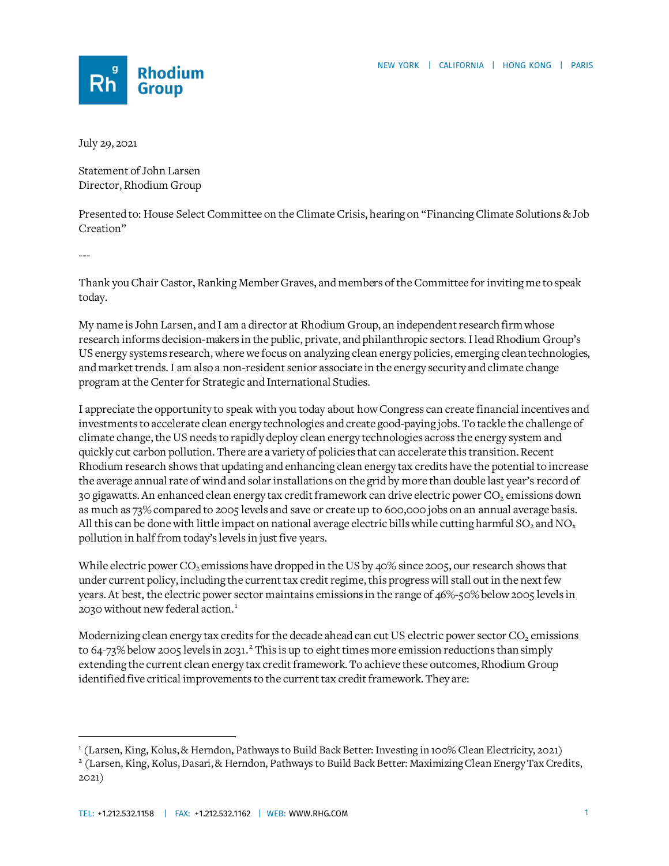

July 29, 2021

Statement of John Larsen Director, Rhodium Group

Presented to: House Select Committee on the Climate Crisis, hearing on "Financing Climate Solutions & Job Creation"

---

Thank you Chair Castor, Ranking Member Graves, and members of the Committee for inviting me to speak today.

My name is John Larsen, and I am a director at Rhodium Group, an independent research firm whose research informs decision-makers in the public, private, and philanthropic sectors. I lead Rhodium Group's US energy systems research, where we focus on analyzing clean energy policies, emerging clean technologies, and market trends. I am also a non-resident senior associate in the energy security and climate change program at the Center for Strategic and International Studies.

I appreciate the opportunity to speak with you today about how Congress can create financial incentives and investments to accelerate clean energy technologies and create good-paying jobs. To tackle the challenge of climate change, the US needs to rapidly deploy clean energy technologies across the energy system and quickly cut carbon pollution. There are a variety of policies that can accelerate this transition. Recent Rhodium research shows that updating and enhancing clean energy tax credits have the potential to increase the average annual rate of wind and solar installations on the grid by more than double last year's record of 30 gigawatts. An enhanced clean energy tax credit framework can drive electric power  $CO<sub>2</sub>$  emissions down as much as 73% compared to 2005 levels and save or create up to 600,000 jobs on an annual average basis. All this can be done with little impact on national average electric bills while cutting harmful SO<sub>2</sub> and NO<sub>x</sub> pollution in half from today's levels in just five years.

While electric power  $CO_2$  emissions have dropped in the US by 40% since 2005, our research shows that under current policy, including the current tax credit regime, this progress will stall out in the next few years. At best, the electric power sector maintains emissions in the range of 46%-50% below 2005 levels in 2030 without new federal action. [1](#page-0-0)

Modernizing clean energy tax credits for the decade ahead can cut US electric power sector CO<sub>2</sub> emissions to 64-73% below [2](#page-0-1)005 levels in 2031.<sup>2</sup> This is up to eight times more emission reductions than simply extending the current clean energy tax credit framework. To achieve these outcomes, Rhodium Group identified five critical improvements to the current tax credit framework. They are:

<span id="page-0-0"></span><sup>1</sup> (Larsen, King, Kolus, & Herndon, Pathways to Build Back Better: Investing in 100% Clean Electricity, 2021)

<span id="page-0-1"></span><sup>2</sup> (Larsen, King, Kolus, Dasari, & Herndon, Pathways to Build Back Better: Maximizing Clean Energy Tax Credits, 2021)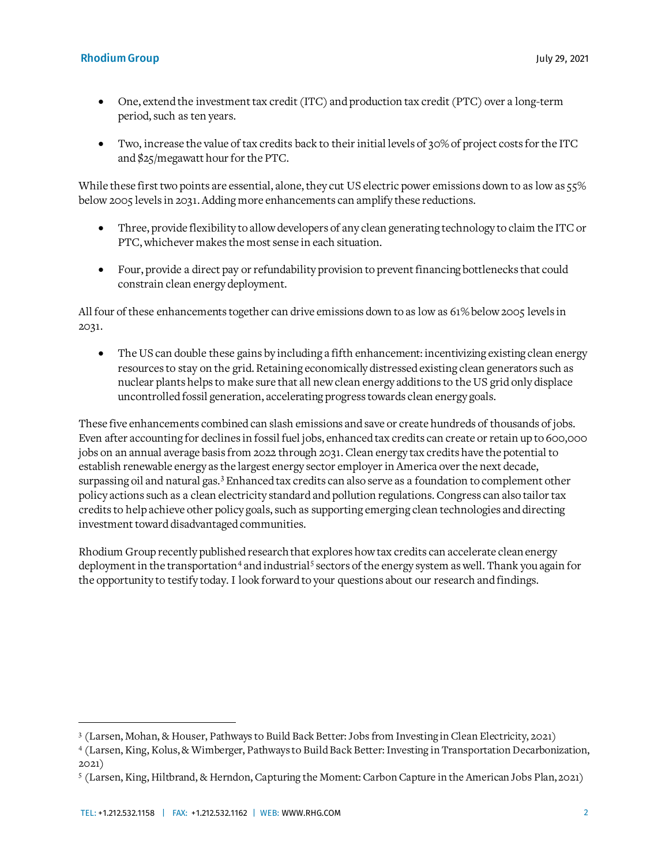- One, extend the investment tax credit (ITC) and production tax credit (PTC) over a long-term period, such as ten years.
- Two, increase the value of tax credits back to their initial levels of 30% of project costs for the ITC and \$25/megawatt hour for the PTC.

While these first two points are essential, alone, they cut US electric power emissions down to as low as 55% below 2005 levels in 2031. Adding more enhancements can amplify these reductions.

- Three, provide flexibility to allow developers of any clean generating technology to claim the ITC or PTC, whichever makes the most sense in each situation.
- Four, provide a direct pay or refundability provision to prevent financing bottlenecks that could constrain clean energy deployment.

All four of these enhancements together can drive emissions down to as low as 61% below 2005 levels in 2031.

• The US can double these gains by including a fifth enhancement: incentivizing existing clean energy resources to stay on the grid. Retaining economically distressed existing clean generators such as nuclear plants helps to make sure that all new clean energy additions to the US grid only displace uncontrolled fossil generation, accelerating progress towards clean energy goals.

These five enhancements combined can slash emissions and save or create hundreds of thousands of jobs. Even after accounting for declines in fossil fuel jobs, enhanced tax credits can create or retain up to 600,000 jobs on an annual average basis from 2022 through 2031. Clean energy tax credits have the potential to establish renewable energy as the largest energy sector employer in America over the next decade, surpassing oil and natural gas.<sup>[3](#page-1-0)</sup> Enhanced tax credits can also serve as a foundation to complement other policy actions such as a clean electricity standard and pollution regulations. Congress can also tailor tax credits to help achieve other policy goals, such as supporting emerging clean technologies and directing investment toward disadvantaged communities.

Rhodium Group recently published research that explores how tax credits can accelerate clean energy deployment in the transportation<sup>[4](#page-1-1)</sup> and industrial<sup>[5](#page-1-2)</sup> sectors of the energy system as well. Thank you again for the opportunity to testify today. I look forward to your questions about our research and findings.

<span id="page-1-0"></span><sup>3</sup> (Larsen, Mohan, & Houser, Pathways to Build Back Better: Jobs from Investing in Clean Electricity, 2021)

<span id="page-1-1"></span><sup>4</sup> (Larsen, King, Kolus, & Wimberger, Pathways to Build Back Better: Investing in Transportation Decarbonization, 2021)

<span id="page-1-2"></span><sup>5</sup> (Larsen, King, Hiltbrand, & Herndon, Capturing the Moment: Carbon Capture in the American Jobs Plan, 2021)